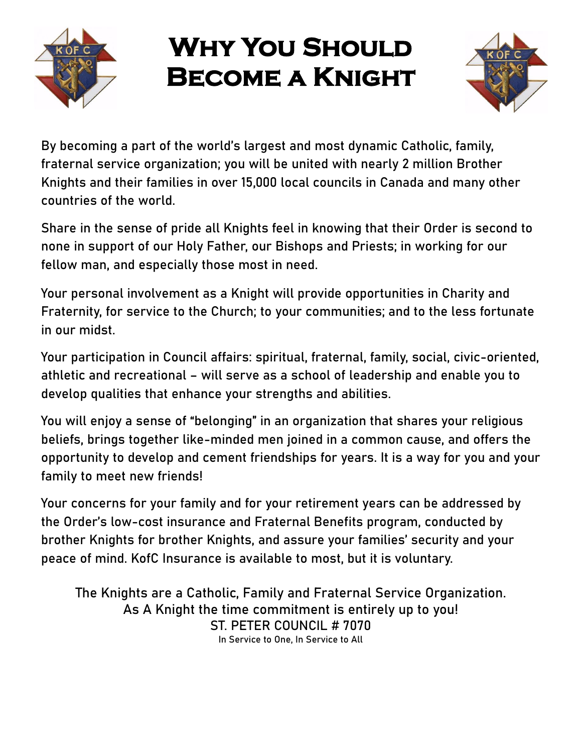

## **Why You Should Become a Knight**



By becoming a part of the world's largest and most dynamic Catholic, family, fraternal service organization; you will be united with nearly 2 million Brother Knights and their families in over 15,000 local councils in Canada and many other countries of the world.

Share in the sense of pride all Knights feel in knowing that their Order is second to none in support of our Holy Father, our Bishops and Priests; in working for our fellow man, and especially those most in need.

Your personal involvement as a Knight will provide opportunities in Charity and Fraternity, for service to the Church; to your communities; and to the less fortunate in our midst.

Your participation in Council affairs: spiritual, fraternal, family, social, civic-oriented, athletic and recreational – will serve as a school of leadership and enable you to develop qualities that enhance your strengths and abilities.

You will enjoy a sense of "belonging" in an organization that shares your religious beliefs, brings together like-minded men joined in a common cause, and offers the opportunity to develop and cement friendships for years. It is a way for you and your family to meet new friends!

Your concerns for your family and for your retirement years can be addressed by the Order's low-cost insurance and Fraternal Benefits program, conducted by brother Knights for brother Knights, and assure your families' security and your peace of mind. KofC Insurance is available to most, but it is voluntary.

**The Knights are a Catholic, Family and Fraternal Service Organization.** As A Knight the time commitment is entirely up to you! **ST. PETER COUNCIL # 7070**  In Service to One, In Service to All